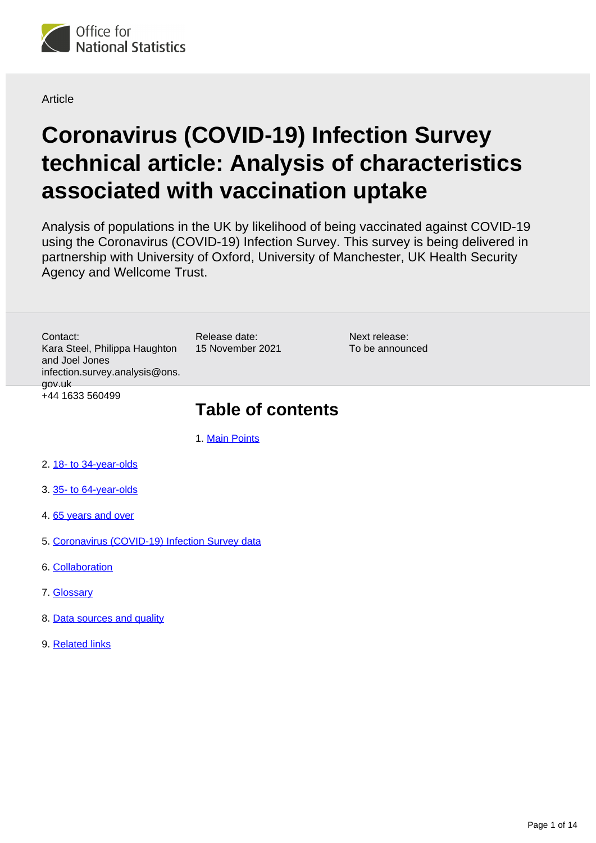

**Article** 

# **Coronavirus (COVID-19) Infection Survey technical article: Analysis of characteristics associated with vaccination uptake**

Analysis of populations in the UK by likelihood of being vaccinated against COVID-19 using the Coronavirus (COVID-19) Infection Survey. This survey is being delivered in partnership with University of Oxford, University of Manchester, UK Health Security Agency and Wellcome Trust.

Contact: Kara Steel, Philippa Haughton and Joel Jones infection.survey.analysis@ons. gov.uk +44 1633 560499

Release date: 15 November 2021

Next release: To be announced

## **Table of contents**

1. [Main Points](#page-1-0)

- 2. [18- to 34-year-olds](#page-4-0)
- 3. [35- to 64-year-olds](#page-7-0)
- 4. [65 years and over](#page-9-0)
- 5. [Coronavirus \(COVID-19\) Infection Survey data](#page-11-0)
- 6. [Collaboration](#page-11-1)
- 7. [Glossary](#page-11-2)
- 8. [Data sources and quality](#page-12-0)
- 9. [Related links](#page-13-0)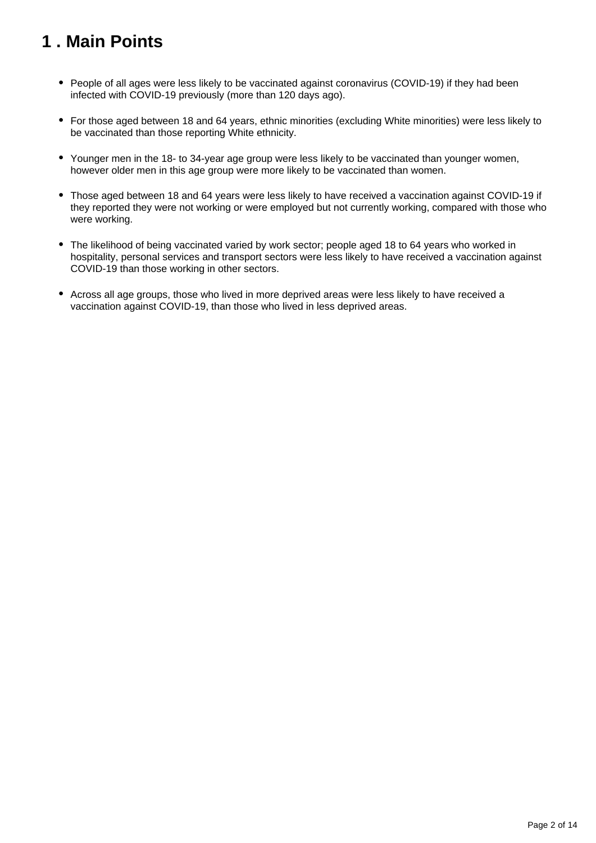## <span id="page-1-0"></span>**1 . Main Points**

- People of all ages were less likely to be vaccinated against coronavirus (COVID-19) if they had been infected with COVID-19 previously (more than 120 days ago).
- For those aged between 18 and 64 years, ethnic minorities (excluding White minorities) were less likely to be vaccinated than those reporting White ethnicity.
- Younger men in the 18- to 34-year age group were less likely to be vaccinated than younger women, however older men in this age group were more likely to be vaccinated than women.
- Those aged between 18 and 64 years were less likely to have received a vaccination against COVID-19 if they reported they were not working or were employed but not currently working, compared with those who were working.
- The likelihood of being vaccinated varied by work sector; people aged 18 to 64 years who worked in hospitality, personal services and transport sectors were less likely to have received a vaccination against COVID-19 than those working in other sectors.
- Across all age groups, those who lived in more deprived areas were less likely to have received a vaccination against COVID-19, than those who lived in less deprived areas.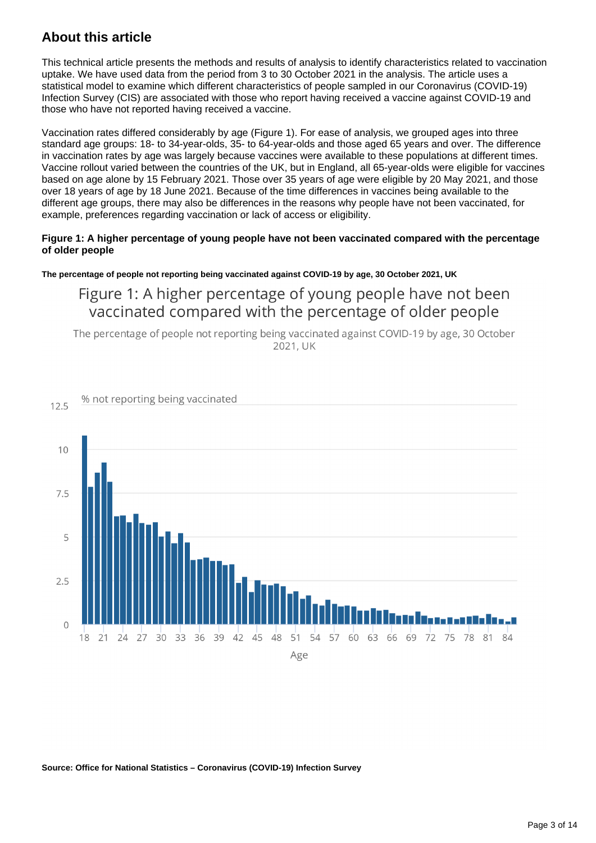## **About this article**

This technical article presents the methods and results of analysis to identify characteristics related to vaccination uptake. We have used data from the period from 3 to 30 October 2021 in the analysis. The article uses a statistical model to examine which different characteristics of people sampled in our Coronavirus (COVID-19) Infection Survey (CIS) are associated with those who report having received a vaccine against COVID-19 and those who have not reported having received a vaccine.

Vaccination rates differed considerably by age (Figure 1). For ease of analysis, we grouped ages into three standard age groups: 18- to 34-year-olds, 35- to 64-year-olds and those aged 65 years and over. The difference in vaccination rates by age was largely because vaccines were available to these populations at different times. Vaccine rollout varied between the countries of the UK, but in England, all 65-year-olds were eligible for vaccines based on age alone by 15 February 2021. Those over 35 years of age were eligible by 20 May 2021, and those over 18 years of age by 18 June 2021. Because of the time differences in vaccines being available to the different age groups, there may also be differences in the reasons why people have not been vaccinated, for example, preferences regarding vaccination or lack of access or eligibility.

#### **Figure 1: A higher percentage of young people have not been vaccinated compared with the percentage of older people**

#### **The percentage of people not reporting being vaccinated against COVID-19 by age, 30 October 2021, UK**

Figure 1: A higher percentage of young people have not been vaccinated compared with the percentage of older people

The percentage of people not reporting being vaccinated against COVID-19 by age, 30 October 2021, UK



#### **Source: Office for National Statistics – Coronavirus (COVID-19) Infection Survey**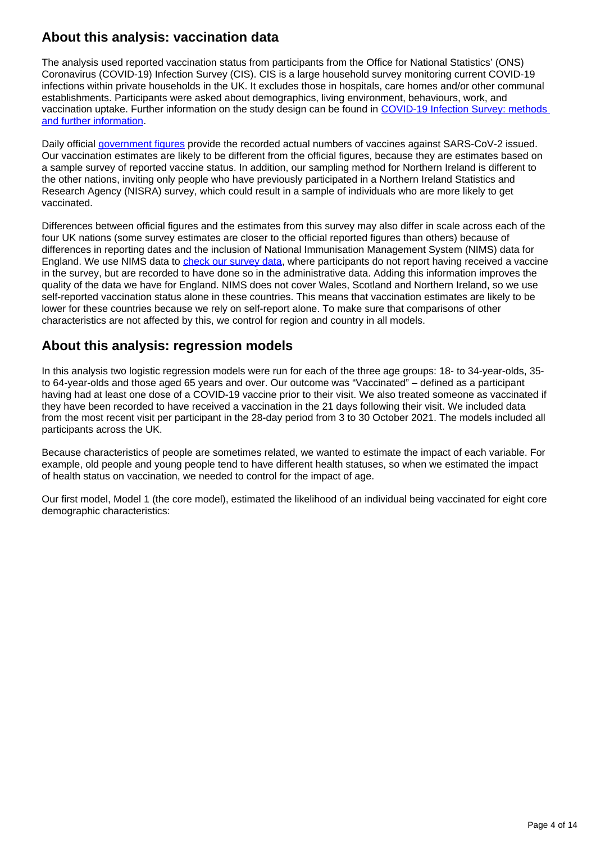## **About this analysis: vaccination data**

The analysis used reported vaccination status from participants from the Office for National Statistics' (ONS) Coronavirus (COVID-19) Infection Survey (CIS). CIS is a large household survey monitoring current COVID-19 infections within private households in the UK. It excludes those in hospitals, care homes and/or other communal establishments. Participants were asked about demographics, living environment, behaviours, work, and vaccination uptake. Further information on the study design can be found in [COVID-19 Infection Survey: methods](https://www.ons.gov.uk/peoplepopulationandcommunity/healthandsocialcare/conditionsanddiseases/methodologies/covid19infectionsurveypilotmethodsandfurtherinformation)  [and further information](https://www.ons.gov.uk/peoplepopulationandcommunity/healthandsocialcare/conditionsanddiseases/methodologies/covid19infectionsurveypilotmethodsandfurtherinformation).

Daily official *government figures* provide the recorded actual numbers of vaccines against SARS-CoV-2 issued. Our vaccination estimates are likely to be different from the official figures, because they are estimates based on a sample survey of reported vaccine status. In addition, our sampling method for Northern Ireland is different to the other nations, inviting only people who have previously participated in a Northern Ireland Statistics and Research Agency (NISRA) survey, which could result in a sample of individuals who are more likely to get vaccinated.

Differences between official figures and the estimates from this survey may also differ in scale across each of the four UK nations (some survey estimates are closer to the official reported figures than others) because of differences in reporting dates and the inclusion of National Immunisation Management System (NIMS) data for England. We use NIMS data to [check our survey data,](https://www.ons.gov.uk/peoplepopulationandcommunity/healthandsocialcare/conditionsanddiseases/methodologies/covid19infectionsurveypilotmethodsandfurtherinformation#processing-the-data) where participants do not report having received a vaccine in the survey, but are recorded to have done so in the administrative data. Adding this information improves the quality of the data we have for England. NIMS does not cover Wales, Scotland and Northern Ireland, so we use self-reported vaccination status alone in these countries. This means that vaccination estimates are likely to be lower for these countries because we rely on self-report alone. To make sure that comparisons of other characteristics are not affected by this, we control for region and country in all models.

### **About this analysis: regression models**

In this analysis two logistic regression models were run for each of the three age groups: 18- to 34-year-olds, 35 to 64-year-olds and those aged 65 years and over. Our outcome was "Vaccinated" – defined as a participant having had at least one dose of a COVID-19 vaccine prior to their visit. We also treated someone as vaccinated if they have been recorded to have received a vaccination in the 21 days following their visit. We included data from the most recent visit per participant in the 28-day period from 3 to 30 October 2021. The models included all participants across the UK.

Because characteristics of people are sometimes related, we wanted to estimate the impact of each variable. For example, old people and young people tend to have different health statuses, so when we estimated the impact of health status on vaccination, we needed to control for the impact of age.

Our first model, Model 1 (the core model), estimated the likelihood of an individual being vaccinated for eight core demographic characteristics: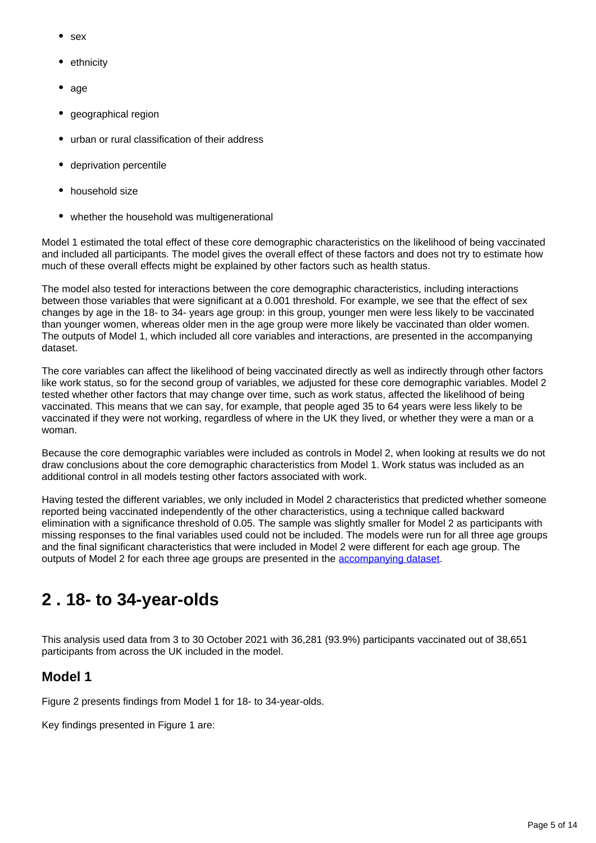- sex
- ethnicity
- age
- geographical region
- urban or rural classification of their address
- deprivation percentile
- household size
- whether the household was multigenerational

Model 1 estimated the total effect of these core demographic characteristics on the likelihood of being vaccinated and included all participants. The model gives the overall effect of these factors and does not try to estimate how much of these overall effects might be explained by other factors such as health status.

The model also tested for interactions between the core demographic characteristics, including interactions between those variables that were significant at a 0.001 threshold. For example, we see that the effect of sex changes by age in the 18- to 34- years age group: in this group, younger men were less likely to be vaccinated than younger women, whereas older men in the age group were more likely be vaccinated than older women. The outputs of Model 1, which included all core variables and interactions, are presented in the accompanying dataset.

The core variables can affect the likelihood of being vaccinated directly as well as indirectly through other factors like work status, so for the second group of variables, we adjusted for these core demographic variables. Model 2 tested whether other factors that may change over time, such as work status, affected the likelihood of being vaccinated. This means that we can say, for example, that people aged 35 to 64 years were less likely to be vaccinated if they were not working, regardless of where in the UK they lived, or whether they were a man or a woman.

Because the core demographic variables were included as controls in Model 2, when looking at results we do not draw conclusions about the core demographic characteristics from Model 1. Work status was included as an additional control in all models testing other factors associated with work.

Having tested the different variables, we only included in Model 2 characteristics that predicted whether someone reported being vaccinated independently of the other characteristics, using a technique called backward elimination with a significance threshold of 0.05. The sample was slightly smaller for Model 2 as participants with missing responses to the final variables used could not be included. The models were run for all three age groups and the final significant characteristics that were included in Model 2 were different for each age group. The outputs of Model 2 for each three age groups are presented in the [accompanying dataset](https://www.ons.gov.uk/peoplepopulationandcommunity/healthandsocialcare/conditionsanddiseases/datasets/coronaviruscovid19infectionsurveytechnicalarticleanalysisofcharacteristicsassociatedwithvaccinationuptake).

## <span id="page-4-0"></span>**2 . 18- to 34-year-olds**

This analysis used data from 3 to 30 October 2021 with 36,281 (93.9%) participants vaccinated out of 38,651 participants from across the UK included in the model.

### **Model 1**

Figure 2 presents findings from Model 1 for 18- to 34-year-olds.

Key findings presented in Figure 1 are: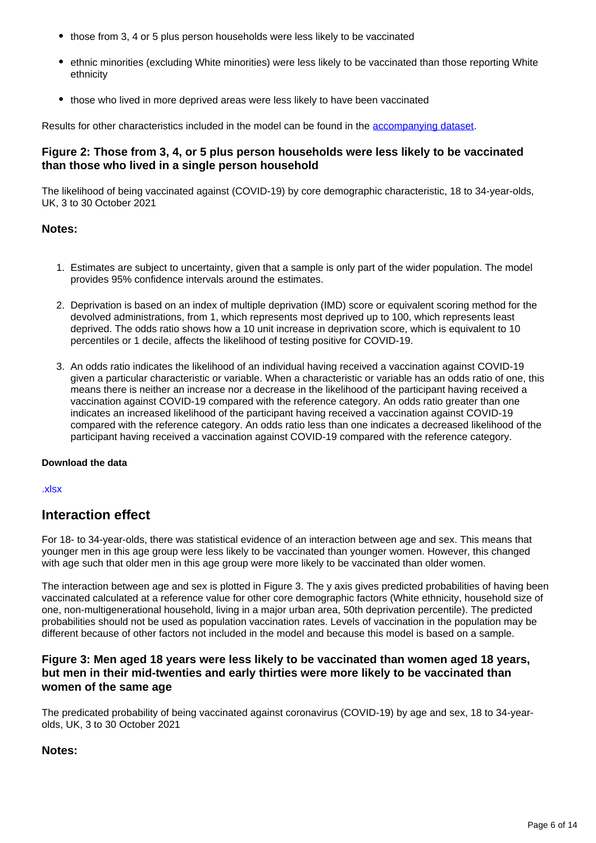- those from 3, 4 or 5 plus person households were less likely to be vaccinated
- ethnic minorities (excluding White minorities) were less likely to be vaccinated than those reporting White ethnicity
- those who lived in more deprived areas were less likely to have been vaccinated

Results for other characteristics included in the model can be found in the [accompanying dataset.](https://www.ons.gov.uk/peoplepopulationandcommunity/healthandsocialcare/conditionsanddiseases/datasets/coronaviruscovid19infectionsurveytechnicalarticleanalysisofcharacteristicsassociatedwithvaccinationuptake)

#### **Figure 2: Those from 3, 4, or 5 plus person households were less likely to be vaccinated than those who lived in a single person household**

The likelihood of being vaccinated against (COVID-19) by core demographic characteristic, 18 to 34-year-olds, UK, 3 to 30 October 2021

#### **Notes:**

- 1. Estimates are subject to uncertainty, given that a sample is only part of the wider population. The model provides 95% confidence intervals around the estimates.
- 2. Deprivation is based on an index of multiple deprivation (IMD) score or equivalent scoring method for the devolved administrations, from 1, which represents most deprived up to 100, which represents least deprived. The odds ratio shows how a 10 unit increase in deprivation score, which is equivalent to 10 percentiles or 1 decile, affects the likelihood of testing positive for COVID-19.
- 3. An odds ratio indicates the likelihood of an individual having received a vaccination against COVID-19 given a particular characteristic or variable. When a characteristic or variable has an odds ratio of one, this means there is neither an increase nor a decrease in the likelihood of the participant having received a vaccination against COVID-19 compared with the reference category. An odds ratio greater than one indicates an increased likelihood of the participant having received a vaccination against COVID-19 compared with the reference category. An odds ratio less than one indicates a decreased likelihood of the participant having received a vaccination against COVID-19 compared with the reference category.

#### **Download the data**

[.xlsx](https://www.ons.gov.uk/visualisations/dvc1663/under35core/datadownload.xlsx)

### **Interaction effect**

For 18- to 34-year-olds, there was statistical evidence of an interaction between age and sex. This means that younger men in this age group were less likely to be vaccinated than younger women. However, this changed with age such that older men in this age group were more likely to be vaccinated than older women.

The interaction between age and sex is plotted in Figure 3. The y axis gives predicted probabilities of having been vaccinated calculated at a reference value for other core demographic factors (White ethnicity, household size of one, non-multigenerational household, living in a major urban area, 50th deprivation percentile). The predicted probabilities should not be used as population vaccination rates. Levels of vaccination in the population may be different because of other factors not included in the model and because this model is based on a sample.

#### **Figure 3: Men aged 18 years were less likely to be vaccinated than women aged 18 years, but men in their mid-twenties and early thirties were more likely to be vaccinated than women of the same age**

The predicated probability of being vaccinated against coronavirus (COVID-19) by age and sex, 18 to 34-yearolds, UK, 3 to 30 October 2021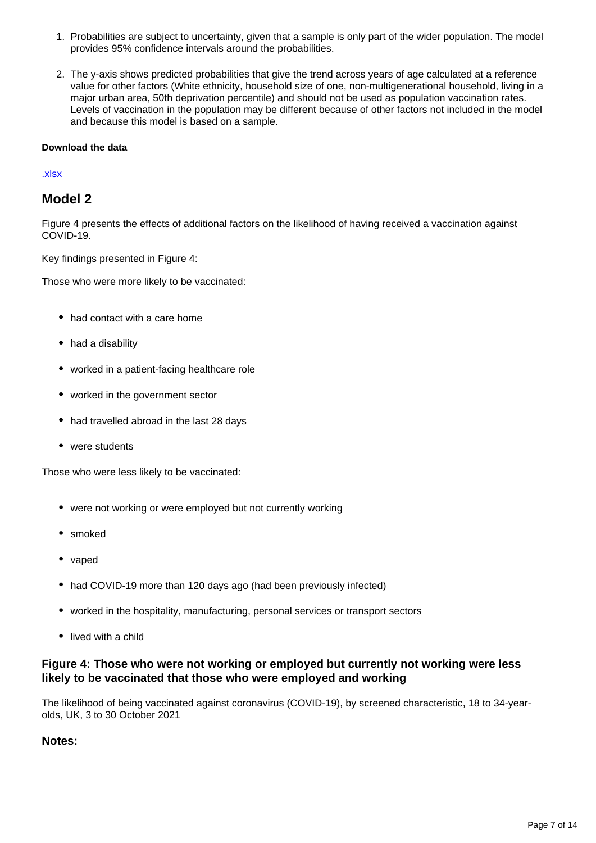- 1. Probabilities are subject to uncertainty, given that a sample is only part of the wider population. The model provides 95% confidence intervals around the probabilities.
- 2. The y-axis shows predicted probabilities that give the trend across years of age calculated at a reference value for other factors (White ethnicity, household size of one, non-multigenerational household, living in a major urban area, 50th deprivation percentile) and should not be used as population vaccination rates. Levels of vaccination in the population may be different because of other factors not included in the model and because this model is based on a sample.

#### [.xlsx](https://www.ons.gov.uk/visualisations/dvc1663/agesex/datadownload.xlsx)

#### **Model 2**

Figure 4 presents the effects of additional factors on the likelihood of having received a vaccination against COVID-19.

Key findings presented in Figure 4:

Those who were more likely to be vaccinated:

- had contact with a care home
- had a disability
- worked in a patient-facing healthcare role
- worked in the government sector
- had travelled abroad in the last 28 days
- were students

Those who were less likely to be vaccinated:

- were not working or were employed but not currently working
- smoked
- vaped
- had COVID-19 more than 120 days ago (had been previously infected)
- worked in the hospitality, manufacturing, personal services or transport sectors
- lived with a child

#### **Figure 4: Those who were not working or employed but currently not working were less likely to be vaccinated that those who were employed and working**

The likelihood of being vaccinated against coronavirus (COVID-19), by screened characteristic, 18 to 34-yearolds, UK, 3 to 30 October 2021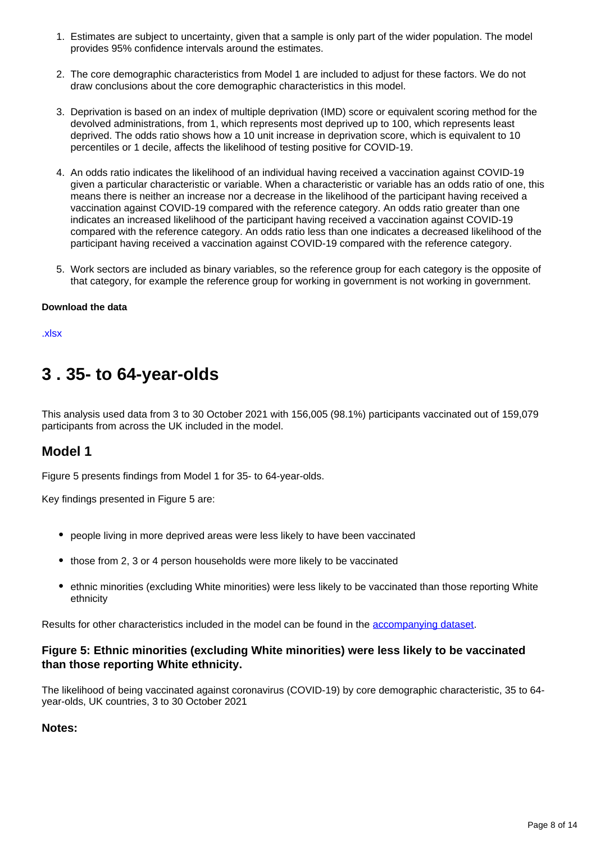- 1. Estimates are subject to uncertainty, given that a sample is only part of the wider population. The model provides 95% confidence intervals around the estimates.
- 2. The core demographic characteristics from Model 1 are included to adjust for these factors. We do not draw conclusions about the core demographic characteristics in this model.
- 3. Deprivation is based on an index of multiple deprivation (IMD) score or equivalent scoring method for the devolved administrations, from 1, which represents most deprived up to 100, which represents least deprived. The odds ratio shows how a 10 unit increase in deprivation score, which is equivalent to 10 percentiles or 1 decile, affects the likelihood of testing positive for COVID-19.
- 4. An odds ratio indicates the likelihood of an individual having received a vaccination against COVID-19 given a particular characteristic or variable. When a characteristic or variable has an odds ratio of one, this means there is neither an increase nor a decrease in the likelihood of the participant having received a vaccination against COVID-19 compared with the reference category. An odds ratio greater than one indicates an increased likelihood of the participant having received a vaccination against COVID-19 compared with the reference category. An odds ratio less than one indicates a decreased likelihood of the participant having received a vaccination against COVID-19 compared with the reference category.
- 5. Work sectors are included as binary variables, so the reference group for each category is the opposite of that category, for example the reference group for working in government is not working in government.

[.xlsx](https://www.ons.gov.uk/visualisations/dvc1663/under35screen/datadownload.xlsx)

## <span id="page-7-0"></span>**3 . 35- to 64-year-olds**

This analysis used data from 3 to 30 October 2021 with 156,005 (98.1%) participants vaccinated out of 159,079 participants from across the UK included in the model.

#### **Model 1**

Figure 5 presents findings from Model 1 for 35- to 64-year-olds.

Key findings presented in Figure 5 are:

- people living in more deprived areas were less likely to have been vaccinated
- those from 2, 3 or 4 person households were more likely to be vaccinated
- ethnic minorities (excluding White minorities) were less likely to be vaccinated than those reporting White ethnicity

Results for other characteristics included in the model can be found in the [accompanying dataset.](https://www.ons.gov.uk/peoplepopulationandcommunity/healthandsocialcare/conditionsanddiseases/datasets/coronaviruscovid19infectionsurveytechnicalarticleanalysisofcharacteristicsassociatedwithvaccinationuptake)

#### **Figure 5: Ethnic minorities (excluding White minorities) were less likely to be vaccinated than those reporting White ethnicity.**

The likelihood of being vaccinated against coronavirus (COVID-19) by core demographic characteristic, 35 to 64 year-olds, UK countries, 3 to 30 October 2021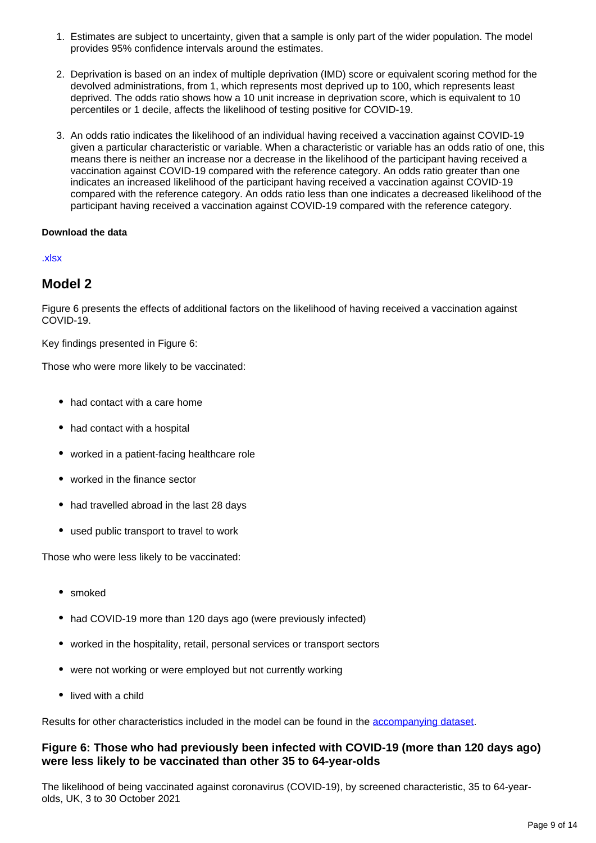- 1. Estimates are subject to uncertainty, given that a sample is only part of the wider population. The model provides 95% confidence intervals around the estimates.
- 2. Deprivation is based on an index of multiple deprivation (IMD) score or equivalent scoring method for the devolved administrations, from 1, which represents most deprived up to 100, which represents least deprived. The odds ratio shows how a 10 unit increase in deprivation score, which is equivalent to 10 percentiles or 1 decile, affects the likelihood of testing positive for COVID-19.
- 3. An odds ratio indicates the likelihood of an individual having received a vaccination against COVID-19 given a particular characteristic or variable. When a characteristic or variable has an odds ratio of one, this means there is neither an increase nor a decrease in the likelihood of the participant having received a vaccination against COVID-19 compared with the reference category. An odds ratio greater than one indicates an increased likelihood of the participant having received a vaccination against COVID-19 compared with the reference category. An odds ratio less than one indicates a decreased likelihood of the participant having received a vaccination against COVID-19 compared with the reference category.

#### [.xlsx](https://www.ons.gov.uk/visualisations/dvc1663/35to64core/datadownload.xlsx)

#### **Model 2**

Figure 6 presents the effects of additional factors on the likelihood of having received a vaccination against COVID-19.

Key findings presented in Figure 6:

Those who were more likely to be vaccinated:

- had contact with a care home
- had contact with a hospital
- worked in a patient-facing healthcare role
- worked in the finance sector
- had travelled abroad in the last 28 days
- used public transport to travel to work

Those who were less likely to be vaccinated:

- smoked
- had COVID-19 more than 120 days ago (were previously infected)
- worked in the hospitality, retail, personal services or transport sectors
- were not working or were employed but not currently working
- lived with a child

Results for other characteristics included in the model can be found in the [accompanying dataset.](https://www.ons.gov.uk/peoplepopulationandcommunity/healthandsocialcare/conditionsanddiseases/datasets/coronaviruscovid19infectionsurveytechnicalarticleanalysisofcharacteristicsassociatedwithvaccinationuptake)

#### **Figure 6: Those who had previously been infected with COVID-19 (more than 120 days ago) were less likely to be vaccinated than other 35 to 64-year-olds**

The likelihood of being vaccinated against coronavirus (COVID-19), by screened characteristic, 35 to 64-yearolds, UK, 3 to 30 October 2021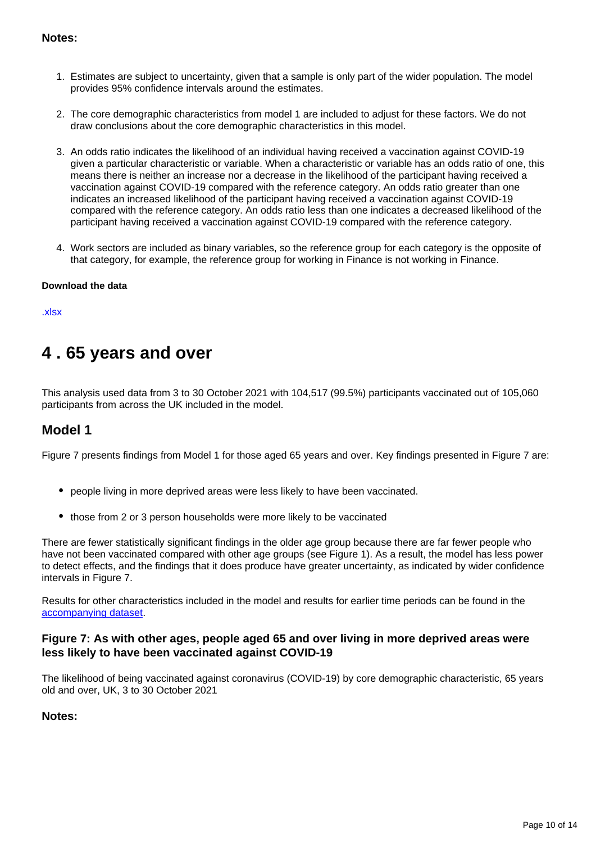#### **Notes:**

- 1. Estimates are subject to uncertainty, given that a sample is only part of the wider population. The model provides 95% confidence intervals around the estimates.
- 2. The core demographic characteristics from model 1 are included to adjust for these factors. We do not draw conclusions about the core demographic characteristics in this model.
- 3. An odds ratio indicates the likelihood of an individual having received a vaccination against COVID-19 given a particular characteristic or variable. When a characteristic or variable has an odds ratio of one, this means there is neither an increase nor a decrease in the likelihood of the participant having received a vaccination against COVID-19 compared with the reference category. An odds ratio greater than one indicates an increased likelihood of the participant having received a vaccination against COVID-19 compared with the reference category. An odds ratio less than one indicates a decreased likelihood of the participant having received a vaccination against COVID-19 compared with the reference category.
- 4. Work sectors are included as binary variables, so the reference group for each category is the opposite of that category, for example, the reference group for working in Finance is not working in Finance.

#### **Download the data**

[.xlsx](https://www.ons.gov.uk/visualisations/dvc1663/35to64screen/datadownload.xlsx)

## <span id="page-9-0"></span>**4 . 65 years and over**

This analysis used data from 3 to 30 October 2021 with 104,517 (99.5%) participants vaccinated out of 105,060 participants from across the UK included in the model.

### **Model 1**

Figure 7 presents findings from Model 1 for those aged 65 years and over. Key findings presented in Figure 7 are:

- people living in more deprived areas were less likely to have been vaccinated.
- those from 2 or 3 person households were more likely to be vaccinated

There are fewer statistically significant findings in the older age group because there are far fewer people who have not been vaccinated compared with other age groups (see Figure 1). As a result, the model has less power to detect effects, and the findings that it does produce have greater uncertainty, as indicated by wider confidence intervals in Figure 7.

Results for other characteristics included in the model and results for earlier time periods can be found in the [accompanying dataset.](https://www.ons.gov.uk/peoplepopulationandcommunity/healthandsocialcare/conditionsanddiseases/datasets/coronaviruscovid19infectionsurveytechnicalarticleanalysisofcharacteristicsassociatedwithvaccinationuptake)

#### **Figure 7: As with other ages, people aged 65 and over living in more deprived areas were less likely to have been vaccinated against COVID-19**

The likelihood of being vaccinated against coronavirus (COVID-19) by core demographic characteristic, 65 years old and over, UK, 3 to 30 October 2021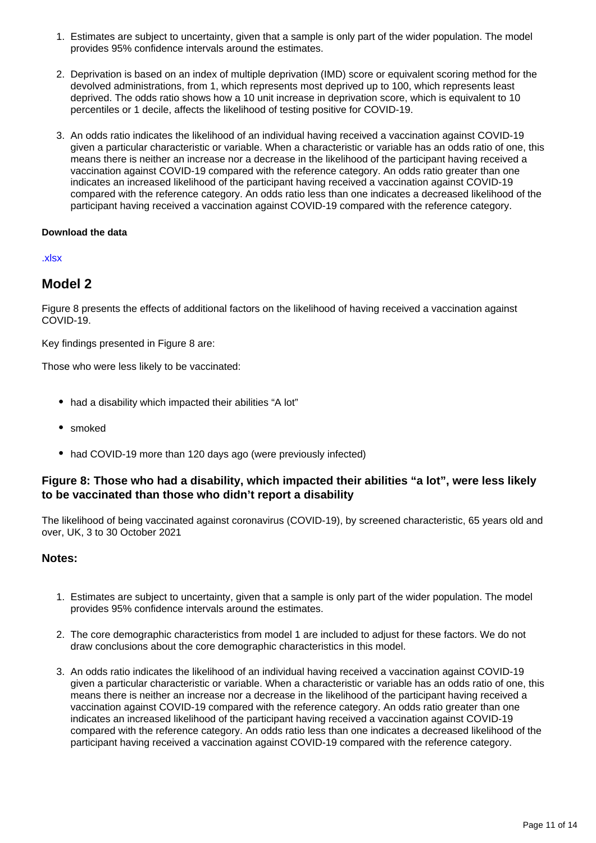- 1. Estimates are subject to uncertainty, given that a sample is only part of the wider population. The model provides 95% confidence intervals around the estimates.
- 2. Deprivation is based on an index of multiple deprivation (IMD) score or equivalent scoring method for the devolved administrations, from 1, which represents most deprived up to 100, which represents least deprived. The odds ratio shows how a 10 unit increase in deprivation score, which is equivalent to 10 percentiles or 1 decile, affects the likelihood of testing positive for COVID-19.
- 3. An odds ratio indicates the likelihood of an individual having received a vaccination against COVID-19 given a particular characteristic or variable. When a characteristic or variable has an odds ratio of one, this means there is neither an increase nor a decrease in the likelihood of the participant having received a vaccination against COVID-19 compared with the reference category. An odds ratio greater than one indicates an increased likelihood of the participant having received a vaccination against COVID-19 compared with the reference category. An odds ratio less than one indicates a decreased likelihood of the participant having received a vaccination against COVID-19 compared with the reference category.

#### [.xlsx](https://www.ons.gov.uk/visualisations/dvc1663/over64core/datadownload.xlsx)

#### **Model 2**

Figure 8 presents the effects of additional factors on the likelihood of having received a vaccination against COVID-19.

Key findings presented in Figure 8 are:

Those who were less likely to be vaccinated:

- had a disability which impacted their abilities "A lot"
- smoked
- had COVID-19 more than 120 days ago (were previously infected)

#### **Figure 8: Those who had a disability, which impacted their abilities "a lot", were less likely to be vaccinated than those who didn't report a disability**

The likelihood of being vaccinated against coronavirus (COVID-19), by screened characteristic, 65 years old and over, UK, 3 to 30 October 2021

- 1. Estimates are subject to uncertainty, given that a sample is only part of the wider population. The model provides 95% confidence intervals around the estimates.
- 2. The core demographic characteristics from model 1 are included to adjust for these factors. We do not draw conclusions about the core demographic characteristics in this model.
- 3. An odds ratio indicates the likelihood of an individual having received a vaccination against COVID-19 given a particular characteristic or variable. When a characteristic or variable has an odds ratio of one, this means there is neither an increase nor a decrease in the likelihood of the participant having received a vaccination against COVID-19 compared with the reference category. An odds ratio greater than one indicates an increased likelihood of the participant having received a vaccination against COVID-19 compared with the reference category. An odds ratio less than one indicates a decreased likelihood of the participant having received a vaccination against COVID-19 compared with the reference category.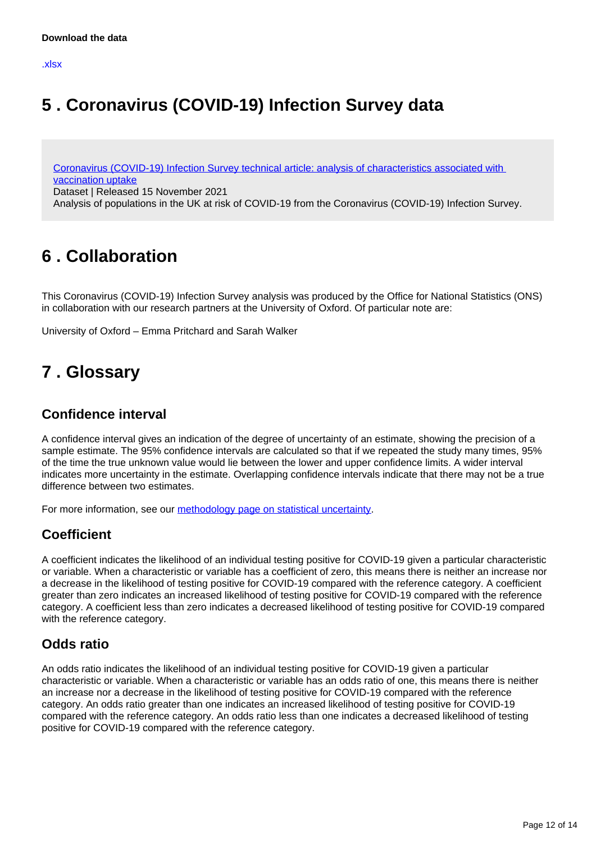## <span id="page-11-0"></span>**5 . Coronavirus (COVID-19) Infection Survey data**

[Coronavirus \(COVID-19\) Infection Survey technical article: analysis of characteristics associated with](https://www.ons.gov.uk/peoplepopulationandcommunity/healthandsocialcare/conditionsanddiseases/datasets/coronaviruscovid19infectionsurveytechnicalarticleanalysisofcharacteristicsassociatedwithvaccinationuptake)  [vaccination uptake](https://www.ons.gov.uk/peoplepopulationandcommunity/healthandsocialcare/conditionsanddiseases/datasets/coronaviruscovid19infectionsurveytechnicalarticleanalysisofcharacteristicsassociatedwithvaccinationuptake)

Dataset | Released 15 November 2021

Analysis of populations in the UK at risk of COVID-19 from the Coronavirus (COVID-19) Infection Survey.

## <span id="page-11-1"></span>**6 . Collaboration**

This Coronavirus (COVID-19) Infection Survey analysis was produced by the Office for National Statistics (ONS) in collaboration with our research partners at the University of Oxford. Of particular note are:

University of Oxford – Emma Pritchard and Sarah Walker

## <span id="page-11-2"></span>**7 . Glossary**

### **Confidence interval**

A confidence interval gives an indication of the degree of uncertainty of an estimate, showing the precision of a sample estimate. The 95% confidence intervals are calculated so that if we repeated the study many times, 95% of the time the true unknown value would lie between the lower and upper confidence limits. A wider interval indicates more uncertainty in the estimate. Overlapping confidence intervals indicate that there may not be a true difference between two estimates.

For more information, see our [methodology page on statistical uncertainty.](https://www.ons.gov.uk/methodology/methodologytopicsandstatisticalconcepts/uncertaintyandhowwemeasureit)

### **Coefficient**

A coefficient indicates the likelihood of an individual testing positive for COVID-19 given a particular characteristic or variable. When a characteristic or variable has a coefficient of zero, this means there is neither an increase nor a decrease in the likelihood of testing positive for COVID-19 compared with the reference category. A coefficient greater than zero indicates an increased likelihood of testing positive for COVID-19 compared with the reference category. A coefficient less than zero indicates a decreased likelihood of testing positive for COVID-19 compared with the reference category.

### **Odds ratio**

An odds ratio indicates the likelihood of an individual testing positive for COVID-19 given a particular characteristic or variable. When a characteristic or variable has an odds ratio of one, this means there is neither an increase nor a decrease in the likelihood of testing positive for COVID-19 compared with the reference category. An odds ratio greater than one indicates an increased likelihood of testing positive for COVID-19 compared with the reference category. An odds ratio less than one indicates a decreased likelihood of testing positive for COVID-19 compared with the reference category.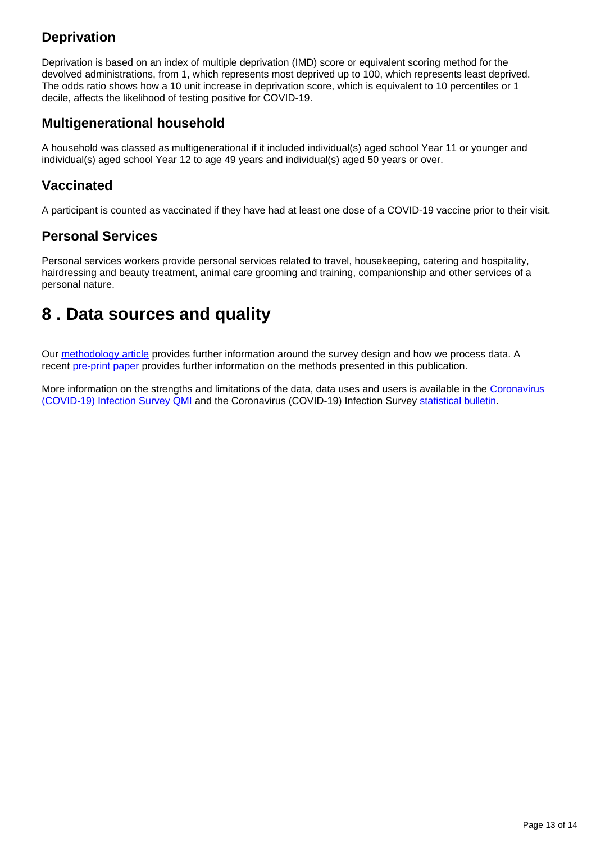## **Deprivation**

Deprivation is based on an index of multiple deprivation (IMD) score or equivalent scoring method for the devolved administrations, from 1, which represents most deprived up to 100, which represents least deprived. The odds ratio shows how a 10 unit increase in deprivation score, which is equivalent to 10 percentiles or 1 decile, affects the likelihood of testing positive for COVID-19.

### **Multigenerational household**

A household was classed as multigenerational if it included individual(s) aged school Year 11 or younger and individual(s) aged school Year 12 to age 49 years and individual(s) aged 50 years or over.

### **Vaccinated**

A participant is counted as vaccinated if they have had at least one dose of a COVID-19 vaccine prior to their visit.

### **Personal Services**

Personal services workers provide personal services related to travel, housekeeping, catering and hospitality, hairdressing and beauty treatment, animal care grooming and training, companionship and other services of a personal nature.

## <span id="page-12-0"></span>**8 . Data sources and quality**

Our [methodology article](https://www.ons.gov.uk/peoplepopulationandcommunity/healthandsocialcare/conditionsanddiseases/methodologies/covid19infectionsurveypilotmethodsandfurtherinformation) provides further information around the survey design and how we process data. A recent [pre-print paper](https://www.medrxiv.org/content/10.1101/2021.09.02.21263017v1.full-text) provides further information on the methods presented in this publication.

More information on the strengths and limitations of the data, data uses and users is available in the Coronavirus [\(COVID-19\) Infection Survey QMI](https://www.ons.gov.uk/peoplepopulationandcommunity/healthandsocialcare/conditionsanddiseases/methodologies/coronaviruscovid19infectionsurveyqmi) and the Coronavirus (COVID-19) Infection Survey [statistical bulletin.](https://www.ons.gov.uk/peoplepopulationandcommunity/healthandsocialcare/conditionsanddiseases/bulletins/coronaviruscovid19infectionsurveypilot/latest#strengths-and-limitations)